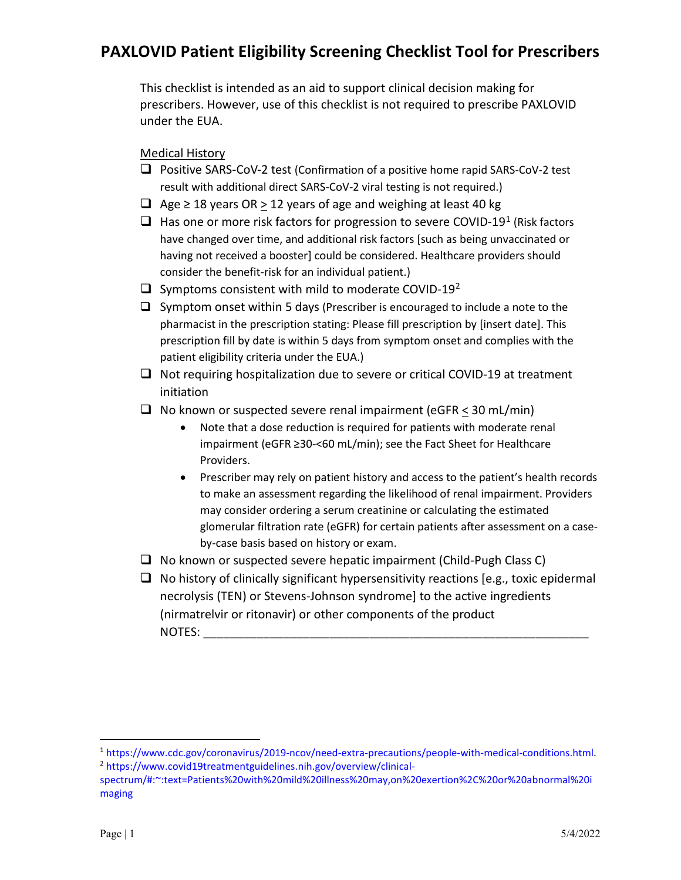This checklist is intended as an aid to support clinical decision making for prescribers. However, use of this checklist is not required to prescribe PAXLOVID under the EUA.

Medical History

- **Positive SARS-CoV-2 test (Confirmation of a positive home rapid SARS-CoV-2 test** result with additional direct SARS-CoV-2 viral testing is not required.)
- $□$  Age ≥ 18 years OR > 12 years of age and weighing at least 40 kg
- $\Box$  Has one or more risk factors for progression to severe COVID-[1](#page-0-0)9<sup>1</sup> (Risk factors have changed over time, and additional risk factors [such as being unvaccinated or having not received a booster] could be considered. Healthcare providers should consider the benefit-risk for an individual patient.)
- $\Box$  Symptoms consistent with mild to moderate COVID-19<sup>[2](#page-0-1)</sup>
- $\Box$  Symptom onset within 5 days (Prescriber is encouraged to include a note to the pharmacist in the prescription stating: Please fill prescription by [insert date]. This prescription fill by date is within 5 days from symptom onset and complies with the patient eligibility criteria under the EUA.)
- $\Box$  Not requiring hospitalization due to severe or critical COVID-19 at treatment initiation
- $\Box$  No known or suspected severe renal impairment (eGFR < 30 mL/min)
	- Note that a dose reduction is required for patients with moderate renal impairment (eGFR ≥30-<60 mL/min); see the Fact Sheet for Healthcare Providers.
	- Prescriber may rely on patient history and access to the patient's health records to make an assessment regarding the likelihood of renal impairment. Providers may consider ordering a serum creatinine or calculating the estimated glomerular filtration rate (eGFR) for certain patients after assessment on a caseby-case basis based on history or exam.
- $\Box$  No known or suspected severe hepatic impairment (Child-Pugh Class C)
- $\Box$  No history of clinically significant hypersensitivity reactions [e.g., toxic epidermal necrolysis (TEN) or Stevens-Johnson syndrome] to the active ingredients (nirmatrelvir or ritonavir) or other components of the product NOTES:

<span id="page-0-1"></span><span id="page-0-0"></span><sup>&</sup>lt;sup>1</sup> https://www.cdc.gov/coronavirus/2019-ncov/need-extra-precautions/people[-with-medical-conditions.html.](https://www.cdc.gov/coronavirus/2019-ncov/need-extra-precautions/people-with-medical-conditions.html)<br><sup>2</sup> https://www.covid19treatmentguidelines.nih.gov/overview/clinical-

spectru[m/#:~:text=Patients%20with%20mild%20illness%20may,on%20exertion%2C%20or%20abnormal%20i](https://www.covid19treatmentguidelines.nih.gov/overview/clinical-spectrum/#:%7E:text=Patients%20with%20mild%20illness%20may,on%20exertion%2C%20or%20abnormal%20imaging) [maging](https://www.covid19treatmentguidelines.nih.gov/overview/clinical-spectrum/#:%7E:text=Patients%20with%20mild%20illness%20may,on%20exertion%2C%20or%20abnormal%20imaging)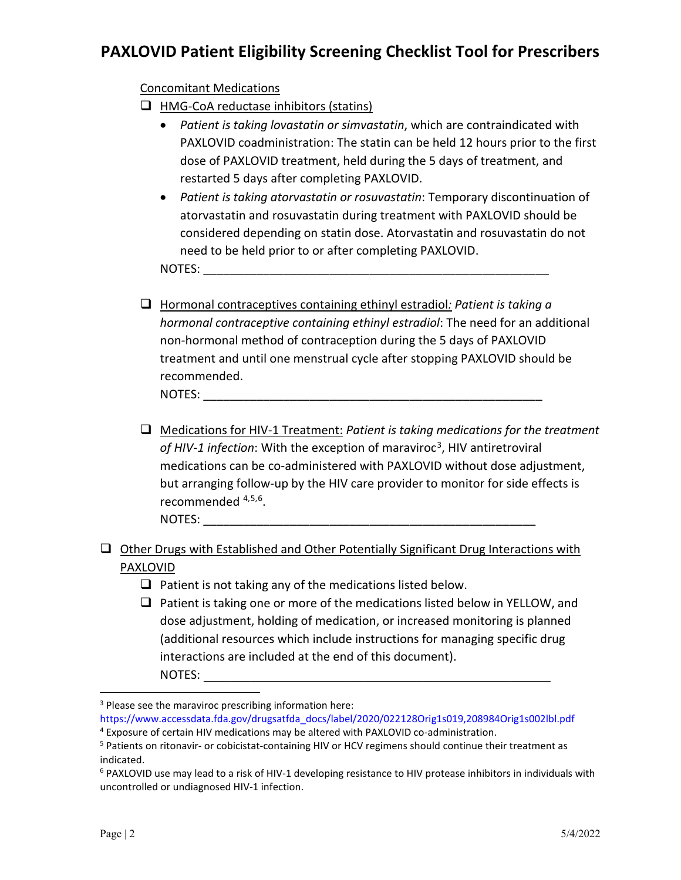### Concomitant Medications

 $\Box$  HMG-CoA reductase inhibitors (statins)

- *Patient is taking lovastatin or simvastatin*, which are contraindicated with PAXLOVID coadministration: The statin can be held 12 hours prior to the first dose of PAXLOVID treatment, held during the 5 days of treatment, and restarted 5 days after completing PAXLOVID.
- *Patient is taking atorvastatin or rosuvastatin*: Temporary discontinuation of atorvastatin and rosuvastatin during treatment with PAXLOVID should be considered depending on statin dose. Atorvastatin and rosuvastatin do not need to be held prior to or after completing PAXLOVID.

NOTES:

- Hormonal contraceptives containing ethinyl estradiol*: Patient is taking a hormonal contraceptive containing ethinyl estradiol*: The need for an additional non-hormonal method of contraception during the 5 days of PAXLOVID treatment and until one menstrual cycle after stopping PAXLOVID should be recommended. NOTES: **with a set of the set of the set of the set of the set of the set of the set of the set of the set of the set of the set of the set of the set of the set of the set of the set of the set of the set of the set of th**
- Medications for HIV-1 Treatment: *Patient is taking medications for the treatment of HIV-1 infection*: With the exception of maraviroc[3](#page-1-0), HIV antiretroviral medications can be co-administered with PAXLOVID without dose adjustment, but arranging follow-up by the HIV care provider to monitor for side effects is recommended [4](#page-1-1),[5](#page-1-2),[6](#page-1-3). NOTES: \_\_\_\_\_\_\_\_\_\_\_\_\_\_\_\_\_\_\_\_\_\_\_\_\_\_\_\_\_\_\_\_\_\_\_\_\_\_\_\_\_\_\_\_\_\_\_\_\_\_
- Other Drugs with Established and Other Potentially Significant Drug Interactions with PAXLOVID
	- $\Box$  Patient is not taking any of the medications listed below.
	- $\Box$  Patient is taking one or more of the medications listed below in YELLOW, and dose adjustment, holding of medication, or increased monitoring is planned (additional resources which include instructions for managing specific drug interactions are included at the end of this document). NOTES: \_\_\_\_\_\_\_\_\_\_\_\_\_\_\_\_\_\_\_\_\_\_\_\_\_\_\_\_\_\_\_\_\_\_\_\_\_\_\_\_\_\_\_\_\_\_\_\_\_\_\_\_

<span id="page-1-0"></span> $3$  Please see the maraviroc prescribing information here:

<span id="page-1-1"></span>[https://www.accessdata.fda.gov/drugsatfda\\_docs/label/2020/022128Orig1s019,208984Orig1s002lbl.pdf](https://www.accessdata.fda.gov/drugsatfda_docs/label/2020/022128Orig1s019,208984Orig1s002lbl.pdf) <sup>4</sup> Exposure of certain HIV medications may be altered with PAXLOVID co-administration.

<span id="page-1-2"></span><sup>&</sup>lt;sup>5</sup> Patients on ritonavir- or cobicistat-containing HIV or HCV regimens should continue their treatment as indicated.

<span id="page-1-3"></span> $6$  PAXLOVID use may lead to a risk of HIV-1 developing resistance to HIV protease inhibitors in individuals with uncontrolled or undiagnosed HIV-1 infection.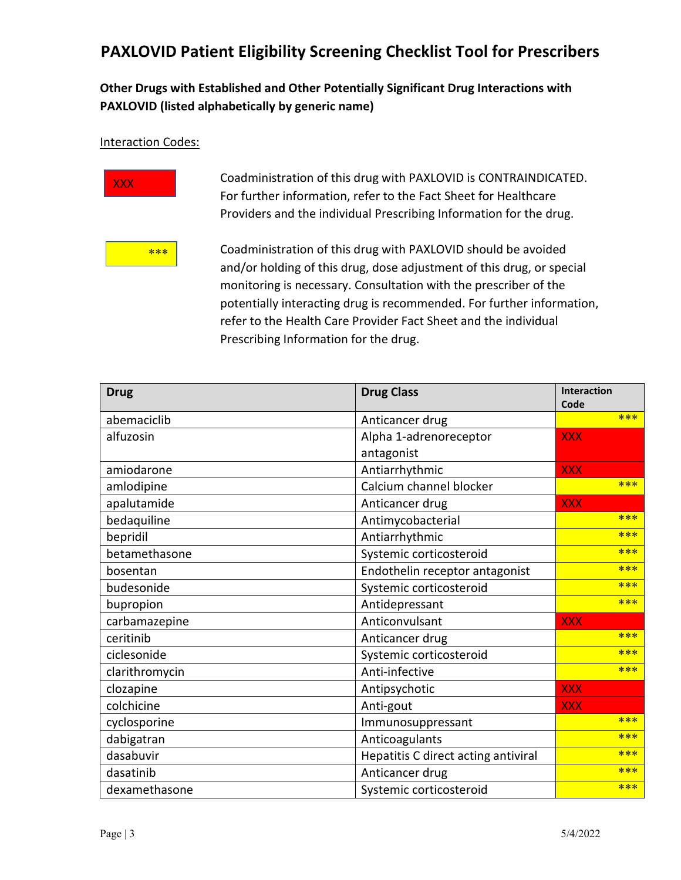## **Other Drugs with Established and Other Potentially Significant Drug Interactions with PAXLOVID (listed alphabetically by generic name)**

#### Interaction Codes:



**XXX CORDITY COADMINISTED** Coadministration of this drug with PAXLOVID is CONTRAINDICATED. For further information, refer to the Fact Sheet for Healthcare Providers and the individual Prescribing Information for the drug.



 $\frac{1}{2}$  Coadministration of this drug with PAXLOVID should be avoided and/or holding of this drug, dose adjustment of this drug, or special monitoring is necessary. Consultation with the prescriber of the potentially interacting drug is recommended. For further information, refer to the Health Care Provider Fact Sheet and the individual Prescribing Information for the drug.

| <b>Drug</b>    | <b>Drug Class</b>                   | <b>Interaction</b> |
|----------------|-------------------------------------|--------------------|
| abemaciclib    | Anticancer drug                     | Code<br>***        |
|                |                                     |                    |
| alfuzosin      | Alpha 1-adrenoreceptor              | <b>XXX</b>         |
|                | antagonist                          |                    |
| amiodarone     | Antiarrhythmic                      | <b>XXX</b>         |
| amlodipine     | Calcium channel blocker             | ***                |
| apalutamide    | Anticancer drug                     | <b>XXX</b>         |
| bedaquiline    | Antimycobacterial                   | ***                |
| bepridil       | Antiarrhythmic                      | ***                |
| betamethasone  | Systemic corticosteroid             | ***                |
| bosentan       | Endothelin receptor antagonist      | $* * *$            |
| budesonide     | Systemic corticosteroid             | ***                |
| bupropion      | Antidepressant                      | ***                |
| carbamazepine  | Anticonvulsant                      | <b>XXX</b>         |
| ceritinib      | Anticancer drug                     | ***                |
| ciclesonide    | Systemic corticosteroid             | ***                |
| clarithromycin | Anti-infective                      | ***                |
| clozapine      | Antipsychotic                       | <b>XXX</b>         |
| colchicine     | Anti-gout                           | <b>XXX</b>         |
| cyclosporine   | Immunosuppressant                   | ***                |
| dabigatran     | Anticoagulants                      | $* * *$            |
| dasabuvir      | Hepatitis C direct acting antiviral | ***                |
| dasatinib      | Anticancer drug                     | $* * *$            |
| dexamethasone  | Systemic corticosteroid             | $* * *$            |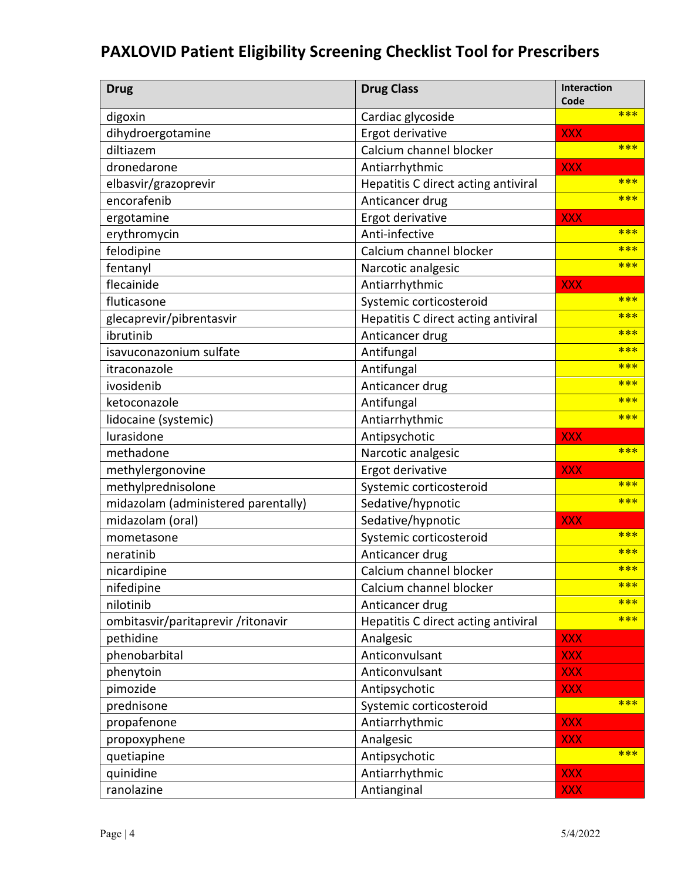| <b>Drug</b>                         | <b>Drug Class</b>                   | Interaction<br>Code |
|-------------------------------------|-------------------------------------|---------------------|
| digoxin                             | Cardiac glycoside                   | ***                 |
| dihydroergotamine                   | Ergot derivative                    | <b>XXX</b>          |
| diltiazem                           | Calcium channel blocker             | ***                 |
| dronedarone                         | Antiarrhythmic                      | <b>XXX</b>          |
| elbasvir/grazoprevir                | Hepatitis C direct acting antiviral | ***                 |
| encorafenib                         | Anticancer drug                     | ***                 |
| ergotamine                          | Ergot derivative                    | <b>XXX</b>          |
| erythromycin                        | Anti-infective                      | ***                 |
| felodipine                          | Calcium channel blocker             | ***                 |
| fentanyl                            | Narcotic analgesic                  | ***                 |
| flecainide                          | Antiarrhythmic                      | <b>XXX</b>          |
| fluticasone                         | Systemic corticosteroid             | ***                 |
| glecaprevir/pibrentasvir            | Hepatitis C direct acting antiviral | ***                 |
| ibrutinib                           | Anticancer drug                     | ***                 |
| isavuconazonium sulfate             | Antifungal                          | ***                 |
| itraconazole                        | Antifungal                          | ***                 |
| ivosidenib                          | Anticancer drug                     | ***                 |
| ketoconazole                        | Antifungal                          | ***                 |
| lidocaine (systemic)                | Antiarrhythmic                      | ***                 |
| lurasidone                          | Antipsychotic                       | <b>XXX</b>          |
| methadone                           | Narcotic analgesic                  | ***                 |
| methylergonovine                    | Ergot derivative                    | <b>XXX</b>          |
| methylprednisolone                  | Systemic corticosteroid             | ***                 |
| midazolam (administered parentally) | Sedative/hypnotic                   | ***                 |
| midazolam (oral)                    | Sedative/hypnotic                   | <b>XXX</b>          |
| mometasone                          | Systemic corticosteroid             | ***                 |
| neratinib                           | Anticancer drug                     | ***                 |
| nicardipine                         | Calcium channel blocker             | ***                 |
| nifedipine                          | Calcium channel blocker             | ***                 |
| nilotinib                           | Anticancer drug                     | ***                 |
| ombitasvir/paritaprevir/ritonavir   | Hepatitis C direct acting antiviral | ***                 |
| pethidine                           | Analgesic                           | <b>XXX</b>          |
| phenobarbital                       | Anticonvulsant                      | <b>XXX</b>          |
| phenytoin                           | Anticonvulsant                      | <b>XXX</b>          |
| pimozide                            | Antipsychotic                       | <b>XXX</b>          |
| prednisone                          | Systemic corticosteroid             | ***                 |
| propafenone                         | Antiarrhythmic                      | <b>XXX</b>          |
| propoxyphene                        | Analgesic                           | <b>XXX</b>          |
| quetiapine                          | Antipsychotic                       | ***                 |
| quinidine                           | Antiarrhythmic                      | <b>XXX</b>          |
| ranolazine                          | Antianginal                         | <b>XXX</b>          |